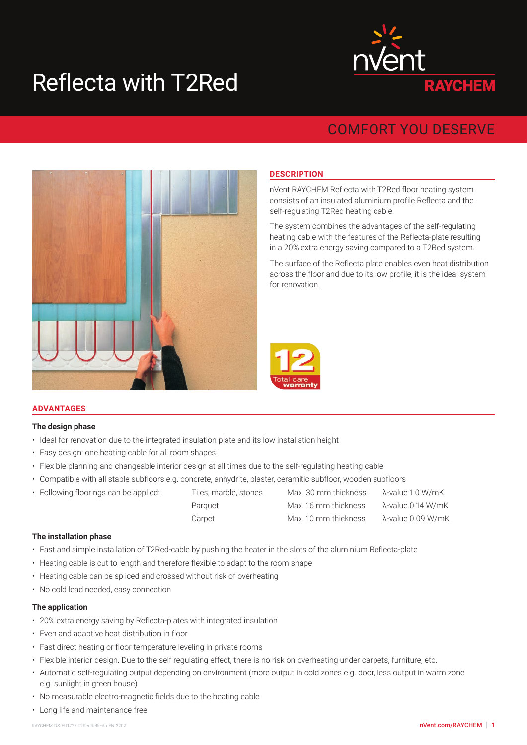# Reflecta with T2Red



# COMFORT YOU DESERVE



# **DESCRIPTION**

nVent RAYCHEM Reflecta with T2Red floor heating system consists of an insulated aluminium profile Reflecta and the self-regulating T2Red heating cable.

The system combines the advantages of the self-regulating heating cable with the features of the Reflecta-plate resulting in a 20% extra energy saving compared to a T2Red system.

The surface of the Reflecta plate enables even heat distribution across the floor and due to its low profile, it is the ideal system for renovation.



# **ADVANTAGES**

#### **The design phase**

- Ideal for renovation due to the integrated insulation plate and its low installation height
- Easy design: one heating cable for all room shapes
- Flexible planning and changeable interior design at all times due to the self-regulating heating cable
- Compatible with all stable subfloors e.g. concrete, anhydrite, plaster, ceramitic subfloor, wooden subfloors
- Following floorings can be applied: Tiles, marble, stones Max. 30 mm thickness λ-value 1.0 W/mK

| r onowing noorings san be applied. | 1100, 1101010, 001100 | 1910/10. OU THIT GHORICOU |                   |
|------------------------------------|-----------------------|---------------------------|-------------------|
|                                    | Parquet               | Max. 16 mm thickness      | λ-value 0.14 W/mK |
|                                    | Carpet                | Max. 10 mm thickness      | λ-value 0.09 W/mK |
|                                    |                       |                           |                   |

#### **The installation phase**

- Fast and simple installation of T2Red-cable by pushing the heater in the slots of the aluminium Reflecta-plate
- Heating cable is cut to length and therefore flexible to adapt to the room shape
- Heating cable can be spliced and crossed without risk of overheating
- No cold lead needed, easy connection

#### **The application**

- 20% extra energy saving by Reflecta-plates with integrated insulation
- Even and adaptive heat distribution in floor
- Fast direct heating or floor temperature leveling in private rooms
- Flexible interior design. Due to the self regulating effect, there is no risk on overheating under carpets, furniture, etc.
- Automatic self-regulating output depending on environment (more output in cold zones e.g. door, less output in warm zone e.g. sunlight in green house)
- No measurable electro-magnetic fields due to the heating cable
- Long life and maintenance free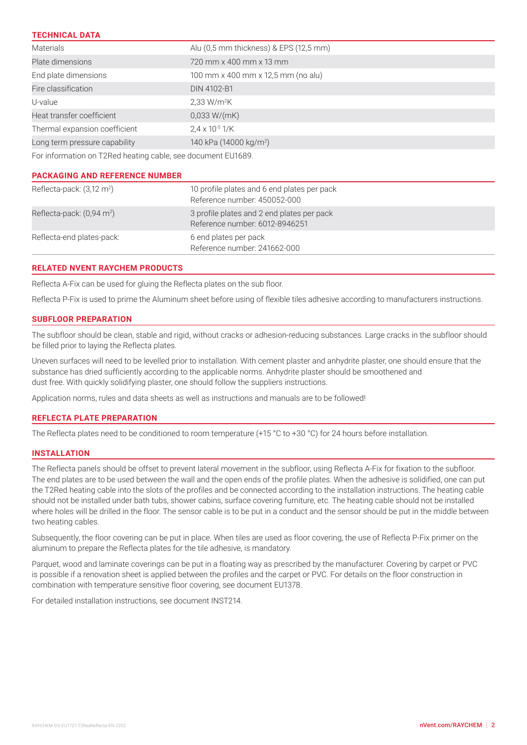| <b>TECHNICAL DATA</b>                                        |                                        |  |  |  |
|--------------------------------------------------------------|----------------------------------------|--|--|--|
| <b>Materials</b>                                             | Alu (0,5 mm thickness) & EPS (12,5 mm) |  |  |  |
| Plate dimensions                                             | 720 mm x 400 mm x 13 mm                |  |  |  |
| End plate dimensions                                         | 100 mm x 400 mm x 12,5 mm (no alu)     |  |  |  |
| Fire classification                                          | DIN 4102-B1                            |  |  |  |
| U-value                                                      | $2,33$ W/m <sup>2</sup> K              |  |  |  |
| Heat transfer coefficient                                    | 0,033 W/(mK)                           |  |  |  |
| Thermal expansion coefficient                                | $2.4 \times 10^{-5}$ 1/K               |  |  |  |
| Long term pressure capability                                | 140 kPa (14000 kg/m <sup>2</sup> )     |  |  |  |
| For information on T2Red heating cable, see document EU1689. |                                        |  |  |  |

| <b>PACKAGING AND REFERENCE NUMBER</b> |  |  |
|---------------------------------------|--|--|

| Reflecta-pack: $(3,12 \text{ m}^2)$   | 10 profile plates and 6 end plates per pack<br>Reference number: 450052-000  |
|---------------------------------------|------------------------------------------------------------------------------|
| Reflecta-pack: (0,94 m <sup>2</sup> ) | 3 profile plates and 2 end plates per pack<br>Reference number: 6012-8946251 |
| Reflecta-end plates-pack:             | 6 end plates per pack<br>Reference number: 241662-000                        |

# **RELATED NVENT RAYCHEM PRODUCTS**

Reflecta A-Fix can be used for gluing the Reflecta plates on the sub floor.

Reflecta P-Fix is used to prime the Aluminum sheet before using of flexible tiles adhesive according to manufacturers instructions.

# **SUBFLOOR PREPARATION**

The subfloor should be clean, stable and rigid, without cracks or adhesion-reducing substances. Large cracks in the subfloor should be filled prior to laying the Reflecta plates.

Uneven surfaces will need to be levelled prior to installation. With cement plaster and anhydrite plaster, one should ensure that the substance has dried sufficiently according to the applicable norms. Anhydrite plaster should be smoothened and dust free. With quickly solidifying plaster, one should follow the suppliers instructions.

Application norms, rules and data sheets as well as instructions and manuals are to be followed!

# **REFLECTA PLATE PREPARATION**

The Reflecta plates need to be conditioned to room temperature (+15 °C to +30 °C) for 24 hours before installation.

#### **INSTALLATION**

The Reflecta panels should be offset to prevent lateral movement in the subfloor, using Reflecta A-Fix for fixation to the subfloor. The end plates are to be used between the wall and the open ends of the profile plates. When the adhesive is solidified, one can put the T2Red heating cable into the slots of the profiles and be connected according to the installation instructions. The heating cable should not be installed under bath tubs, shower cabins, surface covering furniture, etc. The heating cable should not be installed where holes will be drilled in the floor. The sensor cable is to be put in a conduct and the sensor should be put in the middle between two heating cables.

Subsequently, the floor covering can be put in place. When tiles are used as floor covering, the use of Reflecta P-Fix primer on the aluminum to prepare the Reflecta plates for the tile adhesive, is mandatory.

Parquet, wood and laminate coverings can be put in a floating way as prescribed by the manufacturer. Covering by carpet or PVC is possible if a renovation sheet is applied between the profiles and the carpet or PVC. For details on the floor construction in combination with temperature sensitive floor covering, see document EU1378.

For detailed installation instructions, see document INST214.